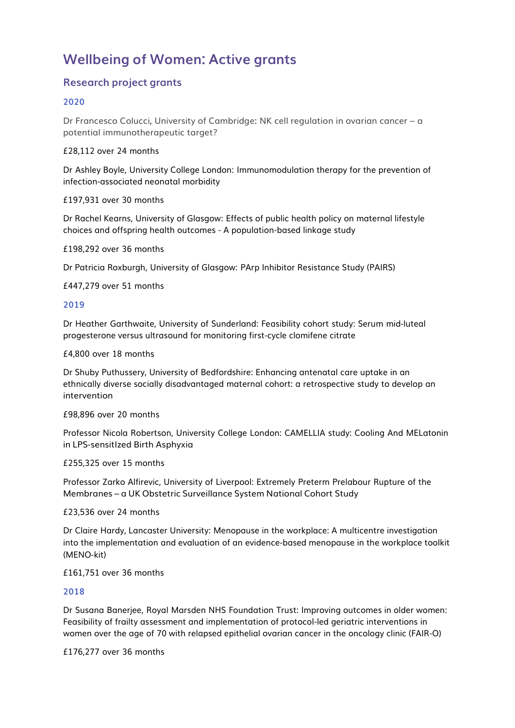# **Wellbeing of Women: Active grants**

## **Research project grants**

#### **2020**

Dr Francesco Colucci, University of Cambridge: NK cell regulation in ovarian cancer – a potential immunotherapeutic target?

£28,112 over 24 months

Dr Ashley Boyle, University College London: Immunomodulation therapy for the prevention of infection-associated neonatal morbidity

£197,931 over 30 months

Dr Rachel Kearns, University of Glasgow: Effects of public health policy on maternal lifestyle choices and offspring health outcomes - A population-based linkage study

£198,292 over 36 months

Dr Patricia Roxburgh, University of Glasgow: PArp Inhibitor Resistance Study (PAIRS)

£447,279 over 51 months

#### **2019**

Dr Heather Garthwaite, University of Sunderland: Feasibility cohort study: Serum mid-luteal progesterone versus ultrasound for monitoring first-cycle clomifene citrate

£4,800 over 18 months

Dr Shuby Puthussery, University of Bedfordshire: Enhancing antenatal care uptake in an ethnically diverse socially disadvantaged maternal cohort: a retrospective study to develop an intervention

£98,896 over 20 months

Professor Nicola Robertson, University College London: CAMELLIA study: Cooling And MELatonin in LPS-sensitIzed Birth Asphyxia

£255,325 over 15 months

Professor Zarko Alfirevic, University of Liverpool: Extremely Preterm Prelabour Rupture of the Membranes – a UK Obstetric Surveillance System National Cohort Study

£23,536 over 24 months

Dr Claire Hardy, Lancaster University: Menopause in the workplace: A multicentre investigation into the implementation and evaluation of an evidence-based menopause in the workplace toolkit (MENO-kit)

£161,751 over 36 months

#### **2018**

Dr Susana Banerjee, Royal Marsden NHS Foundation Trust: Improving outcomes in older women: Feasibility of frailty assessment and implementation of protocol-led geriatric interventions in women over the age of 70 with relapsed epithelial ovarian cancer in the oncology clinic (FAIR-O)

£176,277 over 36 months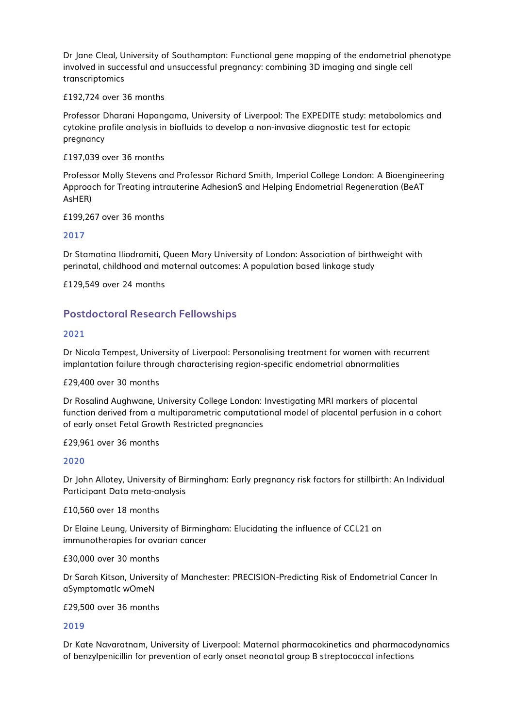Dr Jane Cleal, University of Southampton: Functional gene mapping of the endometrial phenotype involved in successful and unsuccessful pregnancy: combining 3D imaging and single cell transcriptomics

#### £192,724 over 36 months

Professor Dharani Hapangama, University of Liverpool: The EXPEDITE study: metabolomics and cytokine profile analysis in biofluids to develop a non-invasive diagnostic test for ectopic pregnancy

#### £197,039 over 36 months

Professor Molly Stevens and Professor Richard Smith, Imperial College London: A Bioengineering Approach for Treating intrauterine AdhesionS and Helping Endometrial Regeneration (BeAT AsHER)

#### £199,267 over 36 months

#### **2017**

Dr Stamatina Iliodromiti, Queen Mary University of London: Association of birthweight with perinatal, childhood and maternal outcomes: A population based linkage study

£129,549 over 24 months

# **Postdoctoral Research Fellowships**

#### **2021**

Dr Nicola Tempest, University of Liverpool: Personalising treatment for women with recurrent implantation failure through characterising region-specific endometrial abnormalities

#### £29,400 over 30 months

Dr Rosalind Aughwane, University College London: Investigating MRI markers of placental function derived from a multiparametric computational model of placental perfusion in a cohort of early onset Fetal Growth Restricted pregnancies

#### £29,961 over 36 months

#### **2020**

Dr John Allotey, University of Birmingham: Early pregnancy risk factors for stillbirth: An Individual Participant Data meta-analysis

£10,560 over 18 months

Dr Elaine Leung, University of Birmingham: Elucidating the influence of CCL21 on immunotherapies for ovarian cancer

£30,000 over 30 months

Dr Sarah Kitson, University of Manchester: PRECISION-Predicting Risk of Endometrial Cancer In aSymptomatIc wOmeN

#### £29,500 over 36 months

#### **2019**

Dr Kate Navaratnam, University of Liverpool: Maternal pharmacokinetics and pharmacodynamics of benzylpenicillin for prevention of early onset neonatal group B streptococcal infections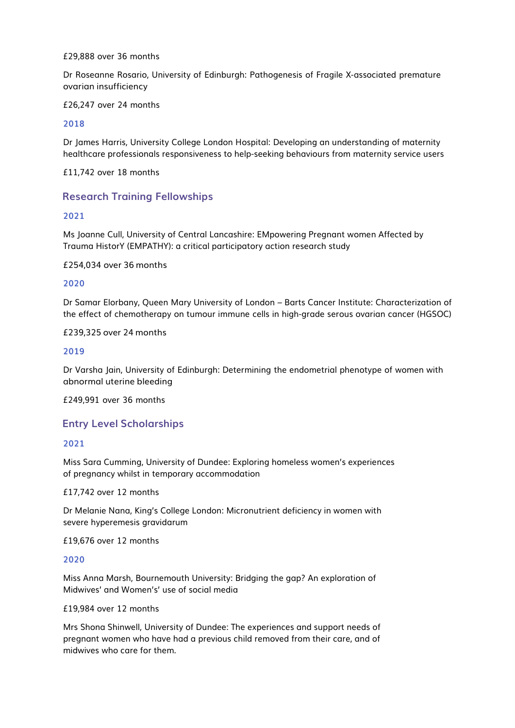#### £29,888 over 36 months

Dr Roseanne Rosario, University of Edinburgh: Pathogenesis of Fragile X-associated premature ovarian insufficiency

£26,247 over 24 months

#### **2018**

Dr James Harris, University College London Hospital: Developing an understanding of maternity healthcare professionals responsiveness to help-seeking behaviours from maternity service users

£11,742 over 18 months

## **Research Training Fellowships**

#### **2021**

Ms Joanne Cull, University of Central Lancashire: EMpowering Pregnant women Affected by Trauma HistorY (EMPATHY): a critical participatory action research study

£254,034 over 36 months

#### **2020**

Dr Samar Elorbany, Queen Mary University of London – Barts Cancer Institute: Characterization of the effect of chemotherapy on tumour immune cells in high-grade serous ovarian cancer (HGSOC)

#### £239,325 over 24 months

#### **2019**

Dr Varsha Jain, University of Edinburgh: Determining the endometrial phenotype of women with abnormal uterine bleeding

£249,991 over 36 months

#### **Entry Level Scholarships**

#### **2021**

Miss Sara Cumming, University of Dundee: Exploring homeless women's experiences of pregnancy whilst in temporary accommodation

£17,742 over 12 months

Dr Melanie Nana, King's College London: Micronutrient deficiency in women with severe hyperemesis gravidarum

£19,676 over 12 months

#### **2020**

Miss Anna Marsh, Bournemouth University: Bridging the gap? An exploration of Midwives' and Women's' use of social media

#### £19,984 over 12 months

Mrs Shona Shinwell, University of Dundee: The experiences and support needs of pregnant women who have had a previous child removed from their care, and of midwives who care for them.